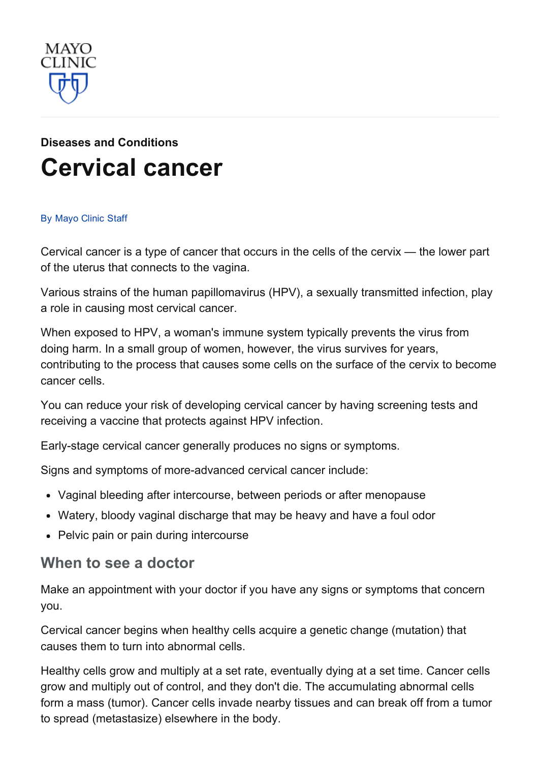

# Diseases and [Conditions](http://www.mayoclinic.org/diseases-conditions) [Cervical](http://www.mayoclinic.org/diseases-conditions/cervical-cancer/basics/definition/con-20030522) cancer

#### By [Mayo](http://www.mayoclinic.org/about-this-site/welcome) Clinic Staff

Cervical cancer is a type of cancer that occurs in the cells of the cervix — the lower part of the uterus that connects to the vagina.

Various strains of the human papillomavirus (HPV), a sexually transmitted infection, play a role in causing most cervical cancer.

When exposed to HPV, a woman's immune system typically prevents the virus from doing harm. In a small group of women, however, the virus survives for years, contributing to the process that causes some cells on the surface of the cervix to become cancer cells.

You can reduce your risk of developing cervical cancer by having screening tests and receiving a vaccine that protects against HPV infection.

Early-stage cervical cancer generally produces no signs or symptoms.

Signs and symptoms of more-advanced cervical cancer include:

- Vaginal bleeding after intercourse, between periods or after menopause
- Watery, bloody vaginal discharge that may be heavy and have a foul odor
- Pelvic pain or pain during intercourse

#### When to see a doctor

Make an appointment with your doctor if you have any signs or symptoms that concern you.

Cervical cancer begins when healthy cells acquire a genetic change (mutation) that causes them to turn into abnormal cells.

Healthy cells grow and multiply at a set rate, eventually dying at a set time. Cancer cells grow and multiply out of control, and they don't die. The accumulating abnormal cells form a mass (tumor). Cancer cells invade nearby tissues and can break off from a tumor to spread (metastasize) elsewhere in the body.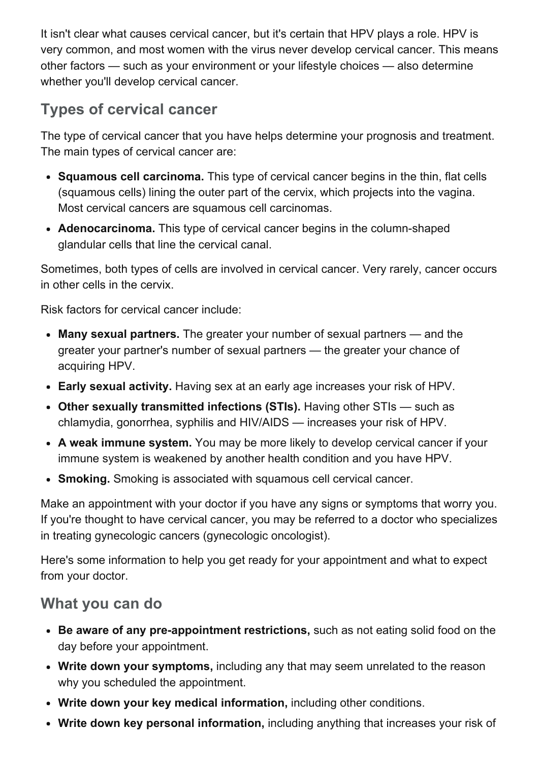It isn't clear what causes cervical cancer, but it's certain that HPV plays a role. HPV is very common, and most women with the virus never develop cervical cancer. This means other factors — such as your environment or your lifestyle choices — also determine whether you'll develop cervical cancer.

## Types of cervical cancer

The type of cervical cancer that you have helps determine your prognosis and treatment. The main types of cervical cancer are:

- Squamous cell carcinoma. This type of cervical cancer begins in the thin, flat cells (squamous cells) lining the outer part of the cervix, which projects into the vagina. Most cervical cancers are squamous cell carcinomas.
- Adenocarcinoma. This type of cervical cancer begins in the column-shaped glandular cells that line the cervical canal.

Sometimes, both types of cells are involved in cervical cancer. Very rarely, cancer occurs in other cells in the cervix.

Risk factors for cervical cancer include:

- Many sexual partners. The greater your number of sexual partners and the greater your partner's number of sexual partners — the greater your chance of acquiring HPV.
- Early sexual activity. Having sex at an early age increases your risk of HPV.
- Other sexually transmitted infections (STIs). Having other STIs such as chlamydia, gonorrhea, syphilis and HIV/AIDS — increases your risk of HPV.
- A weak immune system. You may be more likely to develop cervical cancer if your immune system is weakened by another health condition and you have HPV.
- Smoking. Smoking is associated with squamous cell cervical cancer.

Make an appointment with your doctor if you have any signs or symptoms that worry you. If you're thought to have cervical cancer, you may be referred to a doctor who specializes in treating gynecologic cancers (gynecologic oncologist).

Here's some information to help you get ready for your appointment and what to expect from your doctor.

### What you can do

- Be aware of any pre-appointment restrictions, such as not eating solid food on the day before your appointment.
- Write down your symptoms, including any that may seem unrelated to the reason why you scheduled the appointment.
- Write down your key medical information, including other conditions.
- Write down key personal information, including anything that increases your risk of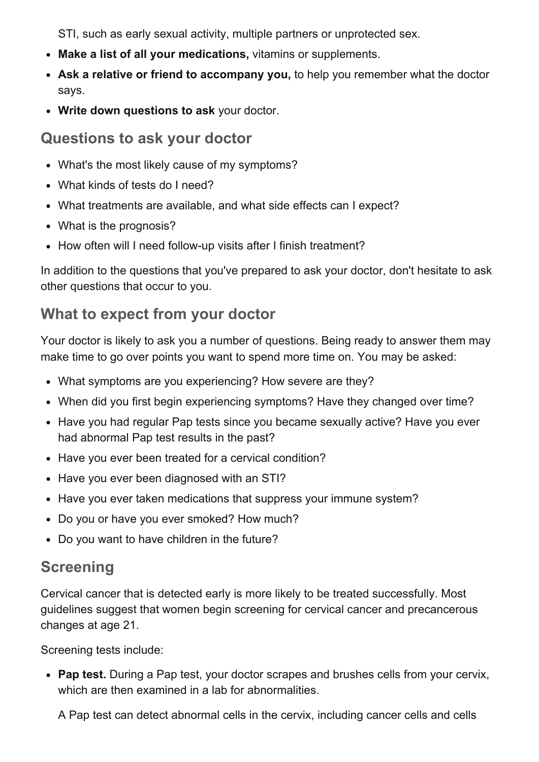STI, such as early sexual activity, multiple partners or unprotected sex.

- Make a list of all your medications, vitamins or supplements.
- Ask a relative or friend to accompany you, to help you remember what the doctor says.
- Write down questions to ask your doctor.

### Questions to ask your doctor

- What's the most likely cause of my symptoms?
- What kinds of tests do I need?
- What treatments are available, and what side effects can I expect?
- What is the prognosis?
- How often will I need follow-up visits after I finish treatment?

In addition to the questions that you've prepared to ask your doctor, don't hesitate to ask other questions that occur to you.

### What to expect from your doctor

Your doctor is likely to ask you a number of questions. Being ready to answer them may make time to go over points you want to spend more time on. You may be asked:

- What symptoms are you experiencing? How severe are they?
- When did you first begin experiencing symptoms? Have they changed over time?
- Have you had regular Pap tests since you became sexually active? Have you ever had abnormal Pap test results in the past?
- Have you ever been treated for a cervical condition?
- Have you ever been diagnosed with an STI?
- Have you ever taken medications that suppress your immune system?
- Do you or have you ever smoked? How much?
- Do you want to have children in the future?

# **Screening**

Cervical cancer that is detected early is more likely to be treated successfully. Most guidelines suggest that women begin screening for cervical cancer and precancerous changes at age 21.

Screening tests include:

• Pap test. During a Pap test, your doctor scrapes and brushes cells from your cervix, which are then examined in a lab for abnormalities.

A Pap test can detect abnormal cells in the cervix, including cancer cells and cells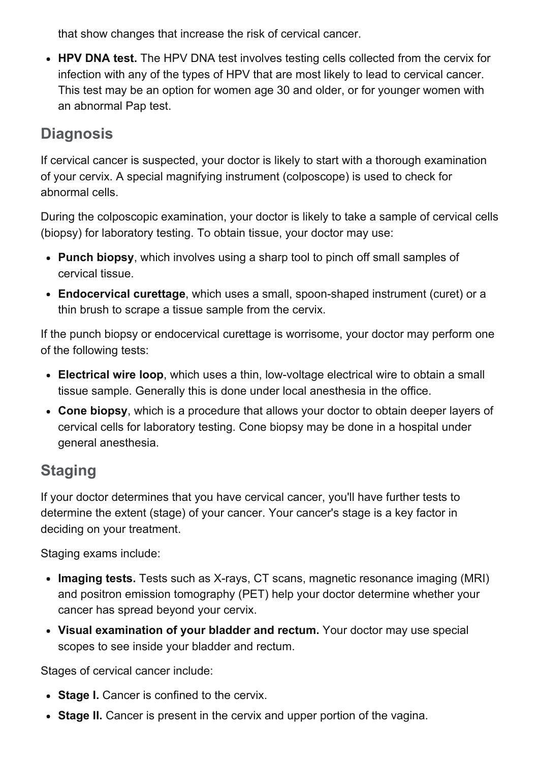that show changes that increase the risk of cervical cancer.

• HPV DNA test. The HPV DNA test involves testing cells collected from the cervix for infection with any of the types of HPV that are most likely to lead to cervical cancer. This test may be an option for women age 30 and older, or for younger women with an abnormal Pap test.

### **Diagnosis**

If cervical cancer is suspected, your doctor is likely to start with a thorough examination of your cervix. A special magnifying instrument (colposcope) is used to check for abnormal cells.

During the colposcopic examination, your doctor is likely to take a sample of cervical cells (biopsy) for laboratory testing. To obtain tissue, your doctor may use:

- Punch biopsy, which involves using a sharp tool to pinch off small samples of cervical tissue.
- Endocervical curettage, which uses a small, spoon-shaped instrument (curet) or a thin brush to scrape a tissue sample from the cervix.

If the punch biopsy or endocervical curettage is worrisome, your doctor may perform one of the following tests:

- Electrical wire loop, which uses a thin, low-voltage electrical wire to obtain a small tissue sample. Generally this is done under local anesthesia in the office.
- Cone biopsy, which is a procedure that allows your doctor to obtain deeper layers of cervical cells for laboratory testing. Cone biopsy may be done in a hospital under general anesthesia.

## Staging

If your doctor determines that you have cervical cancer, you'll have further tests to determine the extent (stage) of your cancer. Your cancer's stage is a key factor in deciding on your treatment.

Staging exams include:

- Imaging tests. Tests such as X-rays, CT scans, magnetic resonance imaging (MRI) and positron emission tomography (PET) help your doctor determine whether your cancer has spread beyond your cervix.
- Visual examination of your bladder and rectum. Your doctor may use special scopes to see inside your bladder and rectum.

Stages of cervical cancer include:

- Stage I. Cancer is confined to the cervix.
- Stage II. Cancer is present in the cervix and upper portion of the vagina.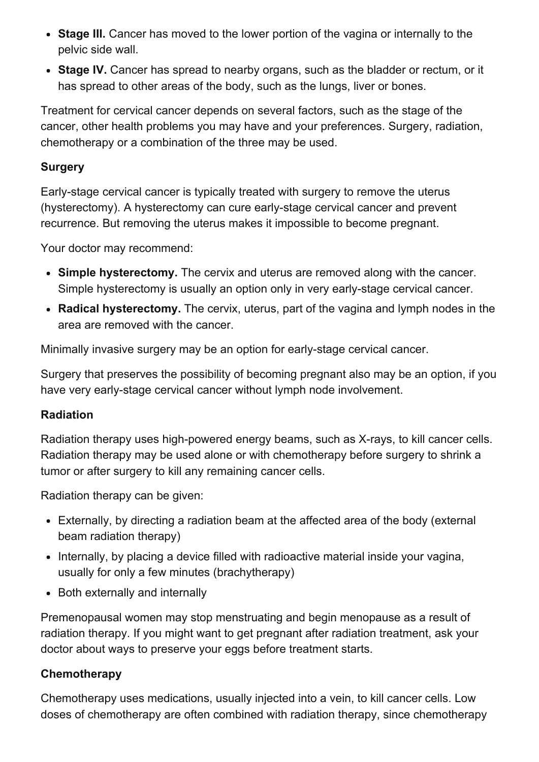- Stage III. Cancer has moved to the lower portion of the vagina or internally to the pelvic side wall.
- Stage IV. Cancer has spread to nearby organs, such as the bladder or rectum, or it has spread to other areas of the body, such as the lungs, liver or bones.

Treatment for cervical cancer depends on several factors, such as the stage of the cancer, other health problems you may have and your preferences. Surgery, radiation, chemotherapy or a combination of the three may be used.

#### **Surgery**

Early-stage cervical cancer is typically treated with surgery to remove the uterus (hysterectomy). A hysterectomy can cure early-stage cervical cancer and prevent recurrence. But removing the uterus makes it impossible to become pregnant.

Your doctor may recommend:

- Simple hysterectomy. The cervix and uterus are removed along with the cancer. Simple hysterectomy is usually an option only in very early-stage cervical cancer.
- Radical hysterectomy. The cervix, uterus, part of the vagina and lymph nodes in the area are removed with the cancer.

Minimally invasive surgery may be an option for early-stage cervical cancer.

Surgery that preserves the possibility of becoming pregnant also may be an option, if you have very early-stage cervical cancer without lymph node involvement.

#### Radiation

Radiation therapy uses high-powered energy beams, such as X-rays, to kill cancer cells. Radiation therapy may be used alone or with chemotherapy before surgery to shrink a tumor or after surgery to kill any remaining cancer cells.

Radiation therapy can be given:

- Externally, by directing a radiation beam at the affected area of the body (external beam radiation therapy)
- Internally, by placing a device filled with radioactive material inside your vagina, usually for only a few minutes (brachytherapy)
- Both externally and internally

Premenopausal women may stop menstruating and begin menopause as a result of radiation therapy. If you might want to get pregnant after radiation treatment, ask your doctor about ways to preserve your eggs before treatment starts.

#### **Chemotherapy**

Chemotherapy uses medications, usually injected into a vein, to kill cancer cells. Low doses of chemotherapy are often combined with radiation therapy, since chemotherapy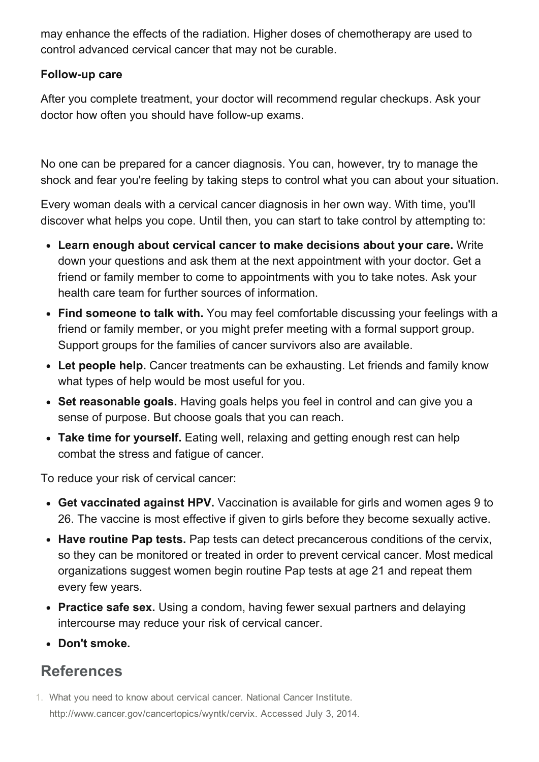may enhance the effects of the radiation. Higher doses of chemotherapy are used to control advanced cervical cancer that may not be curable.

#### Follow-up care

After you complete treatment, your doctor will recommend regular checkups. Ask your doctor how often you should have follow-up exams.

No one can be prepared for a cancer diagnosis. You can, however, try to manage the shock and fear you're feeling by taking steps to control what you can about your situation.

Every woman deals with a cervical cancer diagnosis in her own way. With time, you'll discover what helps you cope. Until then, you can start to take control by attempting to:

- Learn enough about cervical cancer to make decisions about your care. Write down your questions and ask them at the next appointment with your doctor. Get a friend or family member to come to appointments with you to take notes. Ask your health care team for further sources of information.
- Find someone to talk with. You may feel comfortable discussing your feelings with a friend or family member, or you might prefer meeting with a formal support group. Support groups for the families of cancer survivors also are available.
- Let people help. Cancer treatments can be exhausting. Let friends and family know what types of help would be most useful for you.
- Set reasonable goals. Having goals helps you feel in control and can give you a sense of purpose. But choose goals that you can reach.
- Take time for yourself. Eating well, relaxing and getting enough rest can help combat the stress and fatigue of cancer.

To reduce your risk of cervical cancer:

- Get vaccinated against HPV. Vaccination is available for girls and women ages 9 to 26. The vaccine is most effective if given to girls before they become sexually active.
- Have routine Pap tests. Pap tests can detect precancerous conditions of the cervix, so they can be monitored or treated in order to prevent cervical cancer. Most medical organizations suggest women begin routine Pap tests at age 21 and repeat them every few years.
- Practice safe sex. Using a condom, having fewer sexual partners and delaying intercourse may reduce your risk of cervical cancer.
- Don't smoke.

### References

1. What you need to know about cervical cancer. National Cancer Institute. http://www.cancer.gov/cancertopics/wyntk/cervix. Accessed July 3, 2014.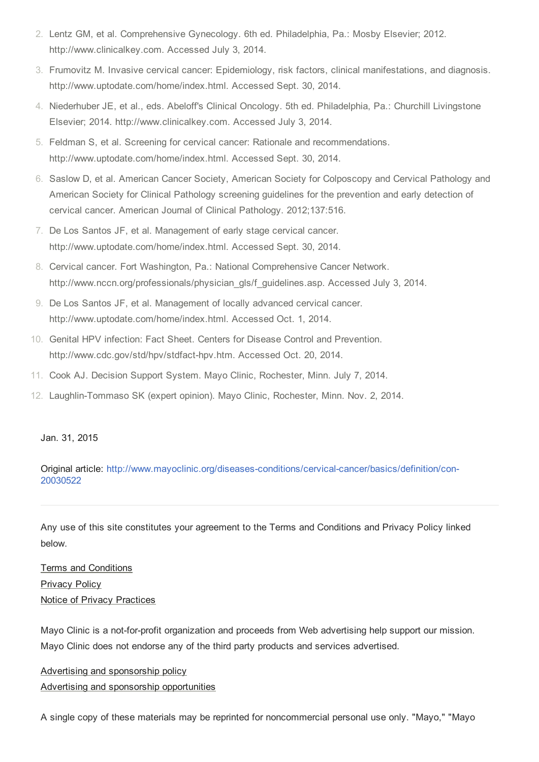- 2. Lentz GM, et al. Comprehensive Gynecology. 6th ed. Philadelphia, Pa.: Mosby Elsevier; 2012. http://www.clinicalkey.com. Accessed July 3, 2014.
- 3. Frumovitz M. Invasive cervical cancer: Epidemiology, risk factors, clinical manifestations, and diagnosis. http://www.uptodate.com/home/index.html. Accessed Sept. 30, 2014.
- 4. Niederhuber JE, et al., eds. Abeloff's Clinical Oncology. 5th ed. Philadelphia, Pa.: Churchill Livingstone Elsevier; 2014. http://www.clinicalkey.com. Accessed July 3, 2014.
- 5. Feldman S, et al. Screening for cervical cancer: Rationale and recommendations. http://www.uptodate.com/home/index.html. Accessed Sept. 30, 2014.
- 6. Saslow D, et al. American Cancer Society, American Society for Colposcopy and Cervical Pathology and American Society for Clinical Pathology screening guidelines for the prevention and early detection of cervical cancer. American Journal of Clinical Pathology. 2012;137:516.
- 7. De Los Santos JF, et al. Management of early stage cervical cancer. http://www.uptodate.com/home/index.html. Accessed Sept. 30, 2014.
- 8. Cervical cancer. Fort Washington, Pa.: National Comprehensive Cancer Network. http://www.nccn.org/professionals/physician\_gls/f\_guidelines.asp. Accessed July 3, 2014.
- 9. De Los Santos JF, et al. Management of locally advanced cervical cancer. http://www.uptodate.com/home/index.html. Accessed Oct. 1, 2014.
- 10. Genital HPV infection: Fact Sheet. Centers for Disease Control and Prevention. http://www.cdc.gov/std/hpv/stdfact-hpv.htm. Accessed Oct. 20, 2014.
- 11. Cook AJ. Decision Support System. Mayo Clinic, Rochester, Minn. July 7, 2014.
- 12. Laughlin-Tommaso SK (expert opinion). Mayo Clinic, Rochester, Minn. Nov. 2, 2014.

#### Jan. 31, 2015

Original article: http://www.mayoclinic.org/diseases-conditions/cervical-cancer/basics/definition/con-20030522

Any use of this site constitutes your agreement to the Terms and Conditions and Privacy Policy linked below.

Terms and [Conditions](http://www.mayoclinic.org/about-this-site/terms-conditions-use-policy) **[Privacy](http://www.mayoclinic.org/about-this-site/privacy-policy) Policy** Notice of Privacy [Practices](http://www.mayoclinic.org/about-mayo-clinic/notice-of-privacy-practices)

Mayo Clinic is a not-for-profit organization and proceeds from Web advertising help support our mission. Mayo Clinic does not endorse any of the third party products and services advertised.

Advertising and [sponsorship](http://www.mayoclinic.org/about-this-site/advertising-sponsorship-policy) policy Advertising and sponsorship [opportunities](http://www.mayoclinic.org/about-this-site/advertising-sponsorship)

A single copy of these materials may be reprinted for noncommercial personal use only. "Mayo," "Mayo